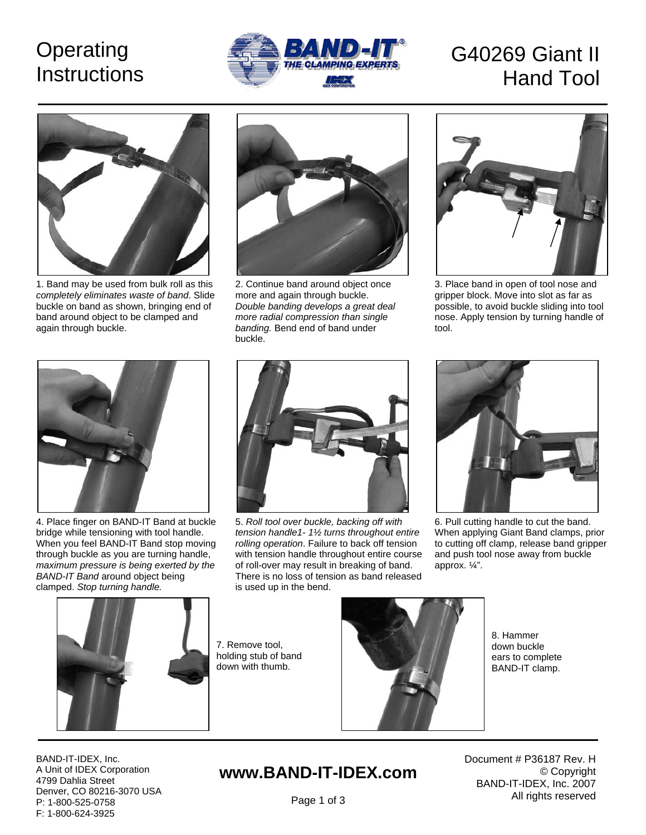## **Operating Instructions**



# G40269 Giant II Hand Tool



1. Band may be used from bulk roll as this *completely eliminates waste of band*. Slide buckle on band as shown, bringing end of band around object to be clamped and again through buckle.



2. Continue band around object once more and again through buckle. *Double banding develops a great deal more radial compression than single banding.* Bend end of band under buckle.



3. Place band in open of tool nose and gripper block. Move into slot as far as possible, to avoid buckle sliding into tool nose. Apply tension by turning handle of tool.



4. Place finger on BAND-IT Band at buckle bridge while tensioning with tool handle. When you feel BAND-IT Band stop moving through buckle as you are turning handle, *maximum pressure is being exerted by the BAND-IT Band* around object being clamped. *Stop turning handle.* 



5. *Roll tool over buckle, backing off with tension handle1- 1½ turns throughout entire rolling operation*. Failure to back off tension with tension handle throughout entire course of roll-over may result in breaking of band. There is no loss of tension as band released is used up in the bend.



6. Pull cutting handle to cut the band. When applying Giant Band clamps, prior to cutting off clamp, release band gripper and push tool nose away from buckle approx. ¼".



7. Remove tool, holding stub of band down with thumb.



8. Hammer down buckle ears to complete BAND-IT clamp.

BAND-IT-IDEX, Inc. A Unit of IDEX Corporation 4799 Dahlia Street Denver, CO 80216-3070 USA P: 1-800-525-0758 F: 1-800-624-3925

### **www.BAND-IT-IDEX.com**

Document # P36187 Rev. H © Copyright BAND-IT-IDEX, Inc. 2007 All rights reserved

Page 1 of 3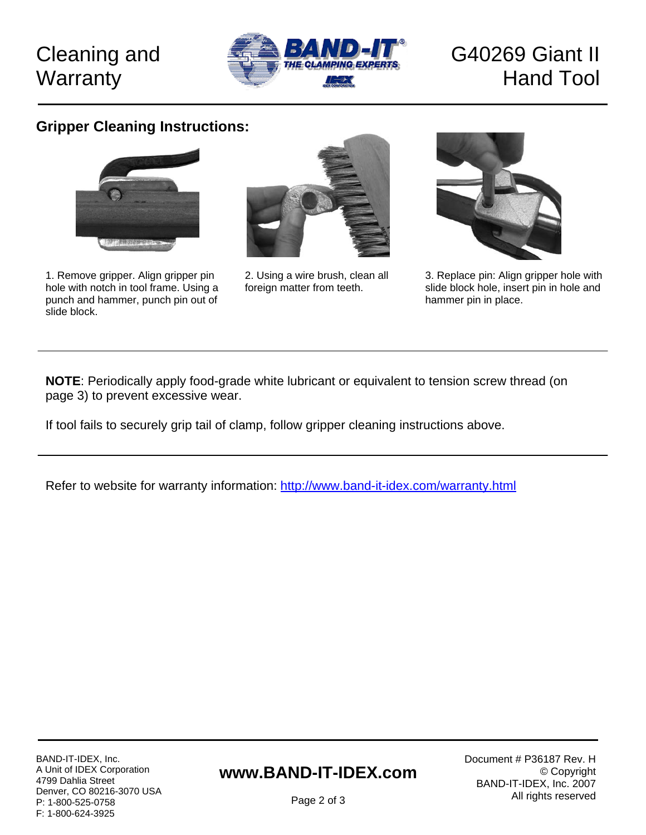### Cleaning and **Warranty**



### G40269 Giant II Hand Tool

#### **Gripper Cleaning Instructions:**



1. Remove gripper. Align gripper pin hole with notch in tool frame. Using a punch and hammer, punch pin out of slide block.



2. Using a wire brush, clean all foreign matter from teeth.



3. Replace pin: Align gripper hole with slide block hole, insert pin in hole and hammer pin in place.

**NOTE**: Periodically apply food-grade white lubricant or equivalent to tension screw thread (on page 3) to prevent excessive wear.

If tool fails to securely grip tail of clamp, follow gripper cleaning instructions above.

Refer to website for warranty information:<http://www.band-it-idex.com/warranty.html>

#### **www.BAND-IT-IDEX.com**